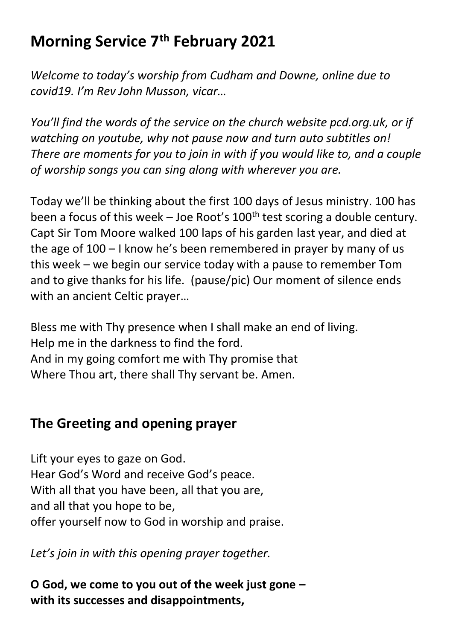## **Morning Service 7 th February 2021**

*Welcome to today's worship from Cudham and Downe, online due to covid19. I'm Rev John Musson, vicar…*

*You'll find the words of the service on the church website pcd.org.uk, or if watching on youtube, why not pause now and turn auto subtitles on! There are moments for you to join in with if you would like to, and a couple of worship songs you can sing along with wherever you are.*

Today we'll be thinking about the first 100 days of Jesus ministry. 100 has been a focus of this week – Joe Root's  $100<sup>th</sup>$  test scoring a double century. Capt Sir Tom Moore walked 100 laps of his garden last year, and died at the age of 100 – I know he's been remembered in prayer by many of us this week – we begin our service today with a pause to remember Tom and to give thanks for his life. (pause/pic) Our moment of silence ends with an ancient Celtic prayer…

Bless me with Thy presence when I shall make an end of living. Help me in the darkness to find the ford. And in my going comfort me with Thy promise that Where Thou art, there shall Thy servant be. Amen*.*

## **The Greeting and opening prayer**

Lift your eyes to gaze on God. Hear God's Word and receive God's peace. With all that you have been, all that you are, and all that you hope to be, offer yourself now to God in worship and praise.

*Let's join in with this opening prayer together.*

**O God, we come to you out of the week just gone – with its successes and disappointments,**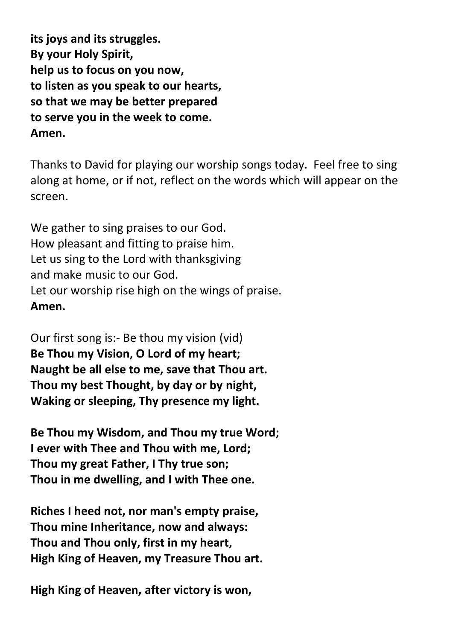**its joys and its struggles. By your Holy Spirit, help us to focus on you now, to listen as you speak to our hearts, so that we may be better prepared to serve you in the week to come. Amen.**

Thanks to David for playing our worship songs today. Feel free to sing along at home, or if not, reflect on the words which will appear on the screen.

We gather to sing praises to our God. How pleasant and fitting to praise him. Let us sing to the Lord with thanksgiving and make music to our God. Let our worship rise high on the wings of praise. **Amen.**

Our first song is:- Be thou my vision (vid) **Be Thou my Vision, O Lord of my heart; Naught be all else to me, save that Thou art. Thou my best Thought, by day or by night, Waking or sleeping, Thy presence my light.** 

**Be Thou my Wisdom, and Thou my true Word; I ever with Thee and Thou with me, Lord; Thou my great Father, I Thy true son; Thou in me dwelling, and I with Thee one.**

**Riches I heed not, nor man's empty praise, Thou mine Inheritance, now and always: Thou and Thou only, first in my heart, High King of Heaven, my Treasure Thou art.** 

**High King of Heaven, after victory is won,**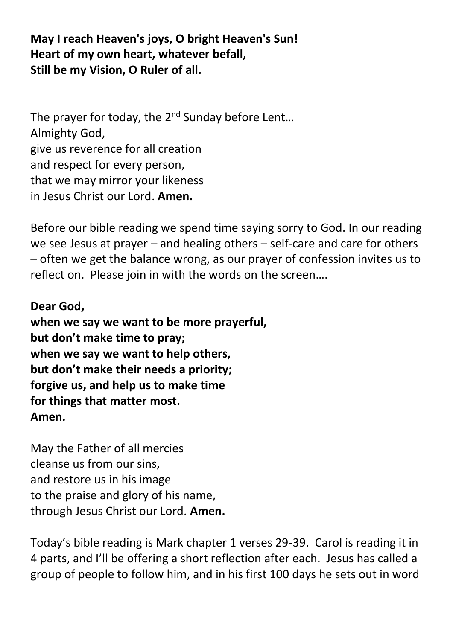## **May I reach Heaven's joys, O bright Heaven's Sun! Heart of my own heart, whatever befall, Still be my Vision, O Ruler of all.**

The prayer for today, the 2<sup>nd</sup> Sunday before Lent... Almighty God, give us reverence for all creation and respect for every person, that we may mirror your likeness in Jesus Christ our Lord. **Amen.**

Before our bible reading we spend time saying sorry to God. In our reading we see Jesus at prayer – and healing others – self-care and care for others – often we get the balance wrong, as our prayer of confession invites us to reflect on. Please join in with the words on the screen….

**Dear God, when we say we want to be more prayerful, but don't make time to pray; when we say we want to help others, but don't make their needs a priority; forgive us, and help us to make time for things that matter most. Amen.**

May the Father of all mercies cleanse us from our sins, and restore us in his image to the praise and glory of his name, through Jesus Christ our Lord. **Amen.**

Today's bible reading is Mark chapter 1 verses 29-39. Carol is reading it in 4 parts, and I'll be offering a short reflection after each. Jesus has called a group of people to follow him, and in his first 100 days he sets out in word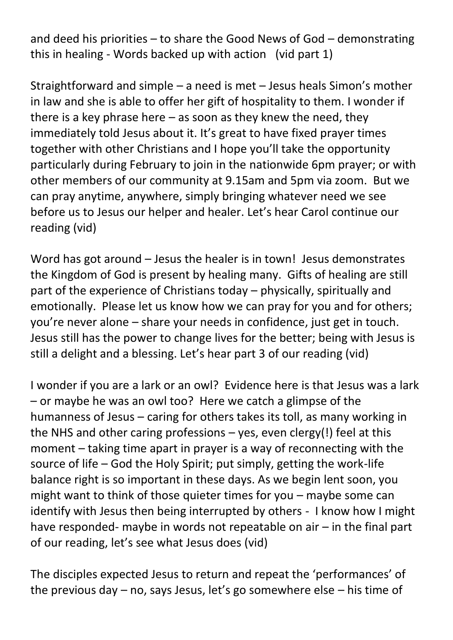and deed his priorities – to share the Good News of God – demonstrating this in healing - Words backed up with action (vid part 1)

Straightforward and simple – a need is met – Jesus heals Simon's mother in law and she is able to offer her gift of hospitality to them. I wonder if there is a key phrase here  $-$  as soon as they knew the need, they immediately told Jesus about it. It's great to have fixed prayer times together with other Christians and I hope you'll take the opportunity particularly during February to join in the nationwide 6pm prayer; or with other members of our community at 9.15am and 5pm via zoom. But we can pray anytime, anywhere, simply bringing whatever need we see before us to Jesus our helper and healer. Let's hear Carol continue our reading (vid)

Word has got around – Jesus the healer is in town! Jesus demonstrates the Kingdom of God is present by healing many. Gifts of healing are still part of the experience of Christians today – physically, spiritually and emotionally. Please let us know how we can pray for you and for others; you're never alone – share your needs in confidence, just get in touch. Jesus still has the power to change lives for the better; being with Jesus is still a delight and a blessing. Let's hear part 3 of our reading (vid)

I wonder if you are a lark or an owl? Evidence here is that Jesus was a lark – or maybe he was an owl too? Here we catch a glimpse of the humanness of Jesus – caring for others takes its toll, as many working in the NHS and other caring professions – yes, even clergy(!) feel at this moment – taking time apart in prayer is a way of reconnecting with the source of life – God the Holy Spirit; put simply, getting the work-life balance right is so important in these days. As we begin lent soon, you might want to think of those quieter times for you – maybe some can identify with Jesus then being interrupted by others - I know how I might have responded- maybe in words not repeatable on air – in the final part of our reading, let's see what Jesus does (vid)

The disciples expected Jesus to return and repeat the 'performances' of the previous day – no, says Jesus, let's go somewhere else – his time of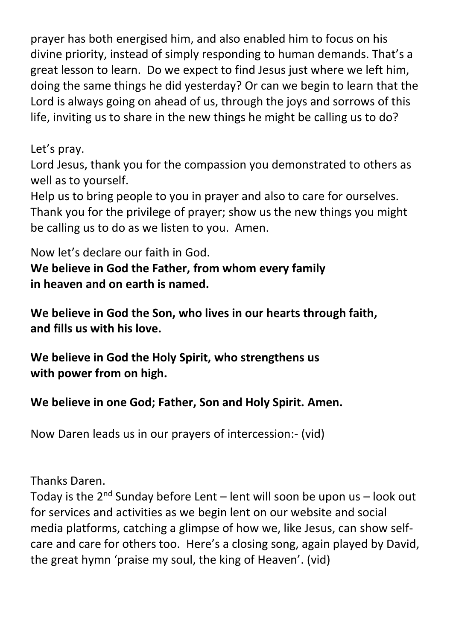prayer has both energised him, and also enabled him to focus on his divine priority, instead of simply responding to human demands. That's a great lesson to learn. Do we expect to find Jesus just where we left him, doing the same things he did yesterday? Or can we begin to learn that the Lord is always going on ahead of us, through the joys and sorrows of this life, inviting us to share in the new things he might be calling us to do?

Let's pray.

Lord Jesus, thank you for the compassion you demonstrated to others as well as to yourself.

Help us to bring people to you in prayer and also to care for ourselves. Thank you for the privilege of prayer; show us the new things you might be calling us to do as we listen to you. Amen.

Now let's declare our faith in God.

**We believe in God the Father, from whom every family in heaven and on earth is named.**

**We believe in God the Son, who lives in our hearts through faith, and fills us with his love.**

**We believe in God the Holy Spirit, who strengthens us with power from on high.**

**We believe in one God; Father, Son and Holy Spirit. Amen.**

Now Daren leads us in our prayers of intercession:- (vid)

Thanks Daren.

Today is the  $2<sup>nd</sup>$  Sunday before Lent – lent will soon be upon us – look out for services and activities as we begin lent on our website and social media platforms, catching a glimpse of how we, like Jesus, can show selfcare and care for others too. Here's a closing song, again played by David, the great hymn 'praise my soul, the king of Heaven'. (vid)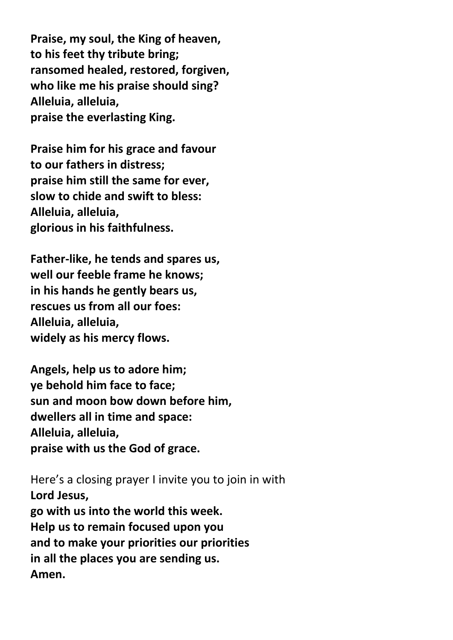**Praise, my soul, the King of heaven, to his feet thy tribute bring; ransomed healed, restored, forgiven, who like me his praise should sing? Alleluia, alleluia, praise the everlasting King.**

**Praise him for his grace and favour to our fathers in distress; praise him still the same for ever, slow to chide and swift to bless: Alleluia, alleluia, glorious in his faithfulness.**

**Father-like, he tends and spares us, well our feeble frame he knows; in his hands he gently bears us, rescues us from all our foes: Alleluia, alleluia, widely as his mercy flows.**

**Angels, help us to adore him; ye behold him face to face; sun and moon bow down before him, dwellers all in time and space: Alleluia, alleluia, praise with us the God of grace.**

Here's a closing prayer I invite you to join in with **Lord Jesus, go with us into the world this week. Help us to remain focused upon you and to make your priorities our priorities in all the places you are sending us. Amen.**